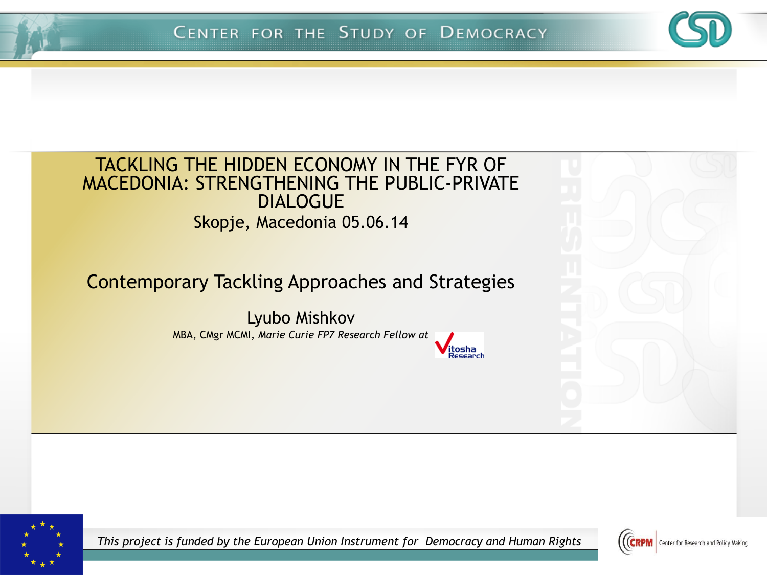

#### TACKLING THE HIDDEN ECONOMY IN THE FYR OF MACEDONIA: STRENGTHENING THE PUBLIC-PRIVATE DIALOGUE Skopje, Macedonia 05.06.14

#### Contemporary Tackling Approaches and Strategies

Lyubo Mishkov MBA, CMgr MCMI, *Marie Curie FP7 Research Fellow at* 





*This project is funded by the European Union Instrument for Democracy and Human Rights*

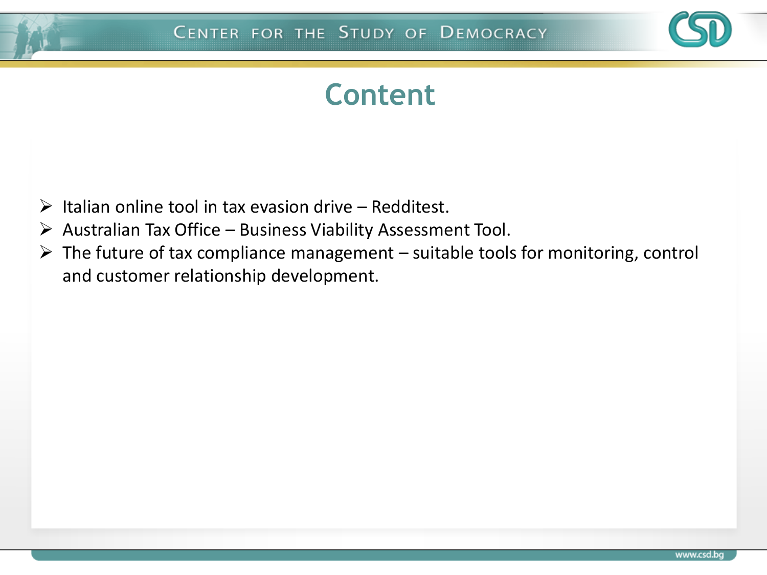

#### **Content**

- $\triangleright$  Italian online tool in tax evasion drive Redditest.
- $\triangleright$  Australian Tax Office Business Viability Assessment Tool.
- $\triangleright$  The future of tax compliance management suitable tools for monitoring, control and customer relationship development.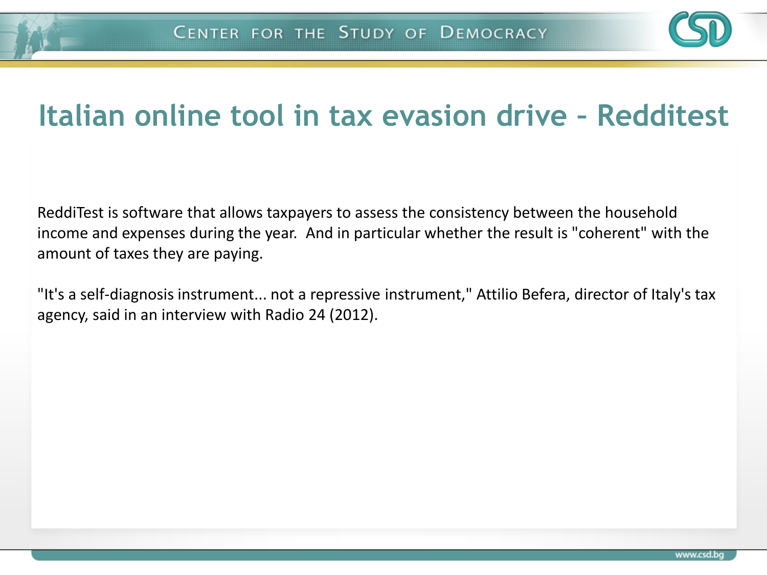

#### **Italian online tool in tax evasion drive – Redditest**

ReddiTest is software that allows taxpayers to assess the consistency between the household income and expenses during the year. And in particular whether the result is "coherent" with the amount of taxes they are paying.

"It's a self-diagnosis instrument... not a repressive instrument," Attilio Befera, director of Italy's tax agency, said in an interview with Radio 24 (2012).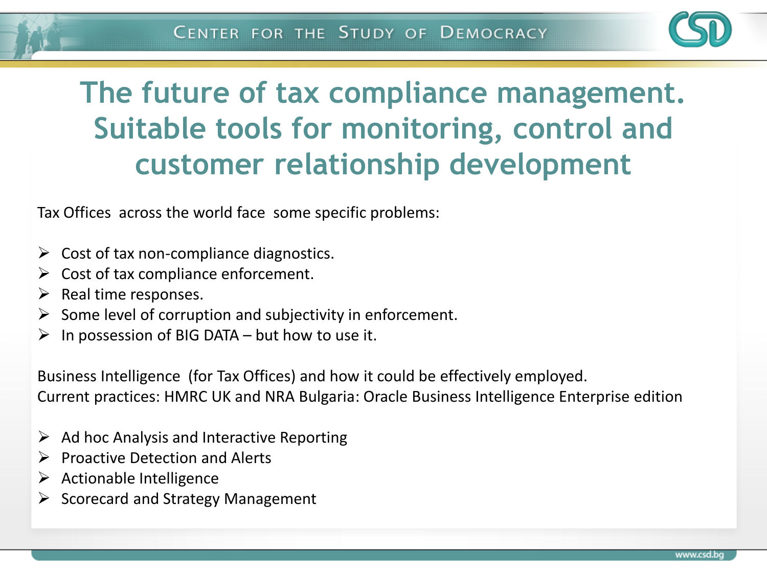

### **The future of tax compliance management. Suitable tools for monitoring, control and customer relationship development**

Tax Offices across the world face some specific problems:

- $\triangleright$  Cost of tax non-compliance diagnostics.
- $\triangleright$  Cost of tax compliance enforcement.
- $\triangleright$  Real time responses.
- $\triangleright$  Some level of corruption and subjectivity in enforcement.
- $\triangleright$  In possession of BIG DATA but how to use it.

Business Intelligence (for Tax Offices) and how it could be effectively employed. Current practices: HMRC UK and NRA Bulgaria: Oracle Business Intelligence Enterprise edition

- $\triangleright$  Ad hoc Analysis and Interactive Reporting
- $\triangleright$  Proactive Detection and Alerts
- $\triangleright$  Actionable Intelligence
- $\triangleright$  Scorecard and Strategy Management